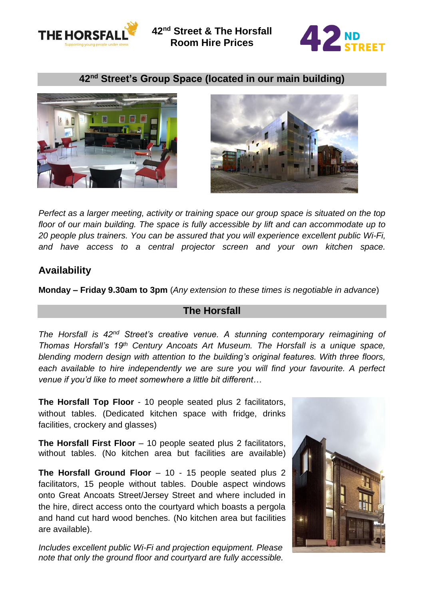



### **42nd Street's Group Space (located in our main building)**





*Perfect as a larger meeting, activity or training space our group space is situated on the top floor of our main building. The space is fully accessible by lift and can accommodate up to 20 people plus trainers. You can be assured that you will experience excellent public Wi-Fi, and have access to a central projector screen and your own kitchen space.*

## **Availability**

**Monday – Friday 9.30am to 3pm** (*Any extension to these times is negotiable in advance*)

### **The Horsfall**

*The Horsfall is 42nd Street's creative venue. A stunning contemporary reimagining of Thomas Horsfall's 19th Century Ancoats Art Museum. The Horsfall is a unique space, blending modern design with attention to the building's original features. With three floors, each available to hire independently we are sure you will find your favourite. A perfect venue if you'd like to meet somewhere a little bit different…*

**The Horsfall Top Floor** - 10 people seated plus 2 facilitators, without tables. (Dedicated kitchen space with fridge, drinks facilities, crockery and glasses)

**The Horsfall First Floor** – 10 people seated plus 2 facilitators, without tables. (No kitchen area but facilities are available)

**The Horsfall Ground Floor** – 10 - 15 people seated plus 2 facilitators, 15 people without tables. Double aspect windows onto Great Ancoats Street/Jersey Street and where included in the hire, direct access onto the courtyard which boasts a pergola and hand cut hard wood benches. (No kitchen area but facilities are available).

*Includes excellent public Wi-Fi and projection equipment. Please note that only the ground floor and courtyard are fully accessible.*